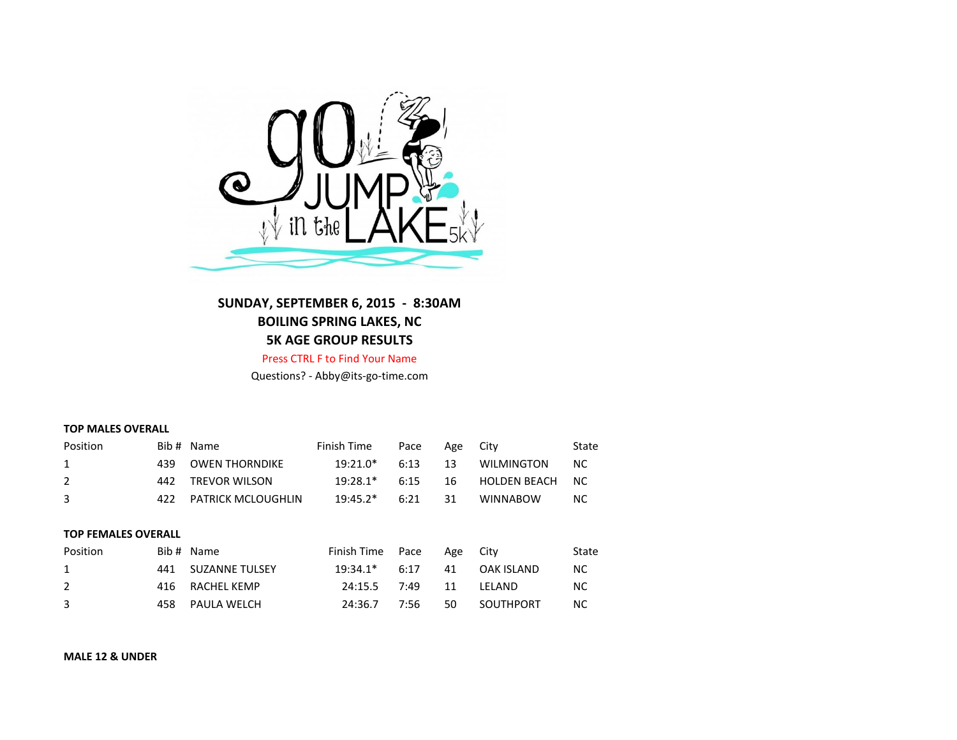

## **SUNDAY, SEPTEMBER 6, 2015 - 8:30AM BOILING SPRING LAKES, NC 5K AGE GROUP RESULTS**

Press CTRL F to Find Your Name

Questions? - Abby@its-go-time.com

## **TOP MALES OVERALL**

| Position       |                            | Bib # Name                | Finish Time | Pace | Age | City                | State     |  |  |
|----------------|----------------------------|---------------------------|-------------|------|-----|---------------------|-----------|--|--|
| 1              | 439                        | <b>OWEN THORNDIKE</b>     | 19:21.0*    | 6:13 | 13  | <b>WILMINGTON</b>   | NС        |  |  |
| $\overline{2}$ | 442                        | <b>TREVOR WILSON</b>      | $19:28.1*$  | 6:15 | 16  | <b>HOLDEN BEACH</b> | <b>NC</b> |  |  |
| 3              | 422                        | <b>PATRICK MCLOUGHLIN</b> | $19:45.2*$  | 6:21 | 31  | <b>WINNABOW</b>     | <b>NC</b> |  |  |
|                |                            |                           |             |      |     |                     |           |  |  |
|                | <b>TOP FEMALES OVERALL</b> |                           |             |      |     |                     |           |  |  |
| Position       |                            | Bib # Name                | Finish Time | Pace | Age | City                | State     |  |  |
| 1              | 441                        | <b>SUZANNE TULSEY</b>     | $19:34.1*$  | 6:17 | 41  | <b>OAK ISLAND</b>   | <b>NC</b> |  |  |
| $\overline{2}$ | 416                        | RACHEL KEMP               | 24:15.5     | 7:49 | 11  | LELAND              | <b>NC</b> |  |  |
| 3              | 458                        | PAULA WELCH               | 24:36.7     | 7:56 | 50  | SOUTHPORT           | NС        |  |  |

**MALE 12 & UNDER**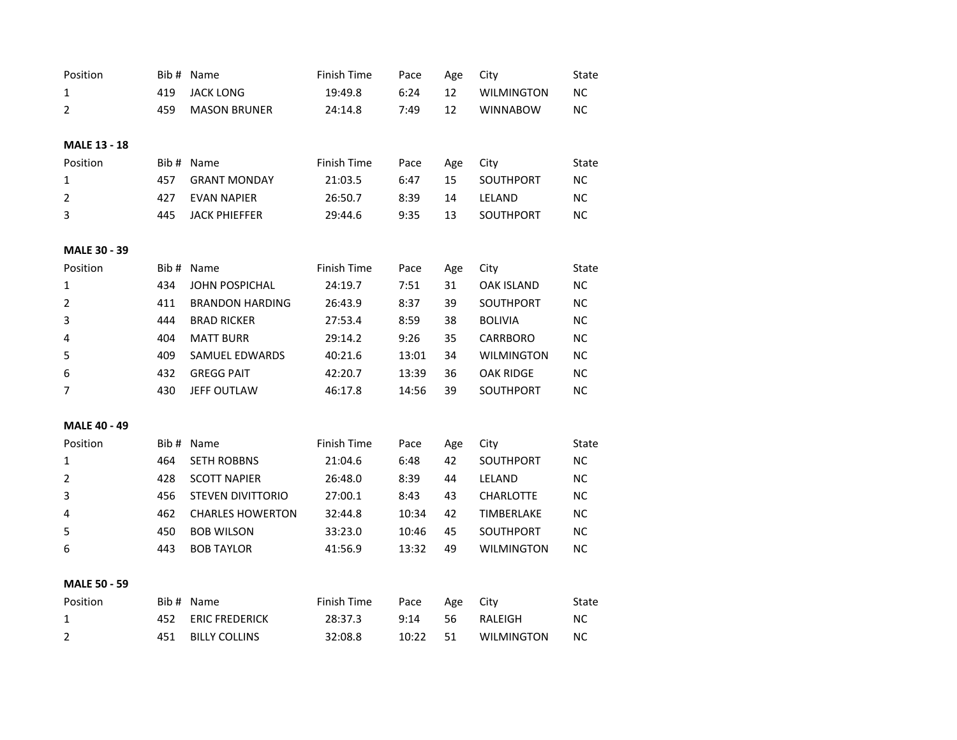| Position            |      | Bib # Name               | Finish Time | Pace  | Age | City              | State     |
|---------------------|------|--------------------------|-------------|-------|-----|-------------------|-----------|
| $\mathbf{1}$        | 419  | <b>JACK LONG</b>         | 19:49.8     | 6:24  | 12  | <b>WILMINGTON</b> | <b>NC</b> |
| $\overline{2}$      | 459  | <b>MASON BRUNER</b>      | 24:14.8     | 7:49  | 12  | <b>WINNABOW</b>   | <b>NC</b> |
|                     |      |                          |             |       |     |                   |           |
| <b>MALE 13 - 18</b> |      |                          |             |       |     |                   |           |
| Position            | Bib# | Name                     | Finish Time | Pace  | Age | City              | State     |
| 1                   | 457  | <b>GRANT MONDAY</b>      | 21:03.5     | 6:47  | 15  | SOUTHPORT         | <b>NC</b> |
| $\overline{2}$      | 427  | <b>EVAN NAPIER</b>       | 26:50.7     | 8:39  | 14  | LELAND            | <b>NC</b> |
| 3                   | 445  | <b>JACK PHIEFFER</b>     | 29:44.6     | 9:35  | 13  | SOUTHPORT         | <b>NC</b> |
| <b>MALE 30 - 39</b> |      |                          |             |       |     |                   |           |
| Position            |      | Bib # Name               | Finish Time | Pace  | Age | City              | State     |
| $\mathbf{1}$        | 434  | <b>JOHN POSPICHAL</b>    | 24:19.7     | 7:51  | 31  | <b>OAK ISLAND</b> | ΝC        |
| $\overline{2}$      | 411  | <b>BRANDON HARDING</b>   | 26:43.9     | 8:37  | 39  | SOUTHPORT         | ΝC        |
| 3                   | 444  | <b>BRAD RICKER</b>       | 27:53.4     | 8:59  | 38  | <b>BOLIVIA</b>    | <b>NC</b> |
| 4                   | 404  | <b>MATT BURR</b>         | 29:14.2     | 9:26  | 35  | <b>CARRBORO</b>   | <b>NC</b> |
| 5                   | 409  | <b>SAMUEL EDWARDS</b>    | 40:21.6     | 13:01 | 34  | <b>WILMINGTON</b> | <b>NC</b> |
| 6                   | 432  | <b>GREGG PAIT</b>        | 42:20.7     | 13:39 | 36  | <b>OAK RIDGE</b>  | <b>NC</b> |
| $\overline{7}$      | 430  | <b>JEFF OUTLAW</b>       | 46:17.8     | 14:56 | 39  | SOUTHPORT         | <b>NC</b> |
| <b>MALE 40 - 49</b> |      |                          |             |       |     |                   |           |
| Position            | Bib# | Name                     | Finish Time | Pace  | Age | City              | State     |
| $\mathbf 1$         | 464  | <b>SETH ROBBNS</b>       | 21:04.6     | 6:48  | 42  | SOUTHPORT         | <b>NC</b> |
| $\overline{2}$      | 428  | <b>SCOTT NAPIER</b>      | 26:48.0     | 8:39  | 44  | LELAND            | <b>NC</b> |
| 3                   | 456  | <b>STEVEN DIVITTORIO</b> | 27:00.1     | 8:43  | 43  | <b>CHARLOTTE</b>  | <b>NC</b> |
| 4                   | 462  | <b>CHARLES HOWERTON</b>  | 32:44.8     | 10:34 | 42  | TIMBERLAKE        | <b>NC</b> |
| 5                   | 450  | <b>BOB WILSON</b>        | 33:23.0     | 10:46 | 45  | SOUTHPORT         | <b>NC</b> |
| 6                   | 443  | <b>BOB TAYLOR</b>        | 41:56.9     | 13:32 | 49  | <b>WILMINGTON</b> | <b>NC</b> |
|                     |      |                          |             |       |     |                   |           |
| <b>MALE 50 - 59</b> |      |                          |             |       |     |                   |           |
| Position            |      | Bib # Name               | Finish Time | Pace  | Age | City              | State     |
| $\mathbf{1}$        | 452  | <b>ERIC FREDERICK</b>    | 28:37.3     | 9:14  | 56  | RALEIGH           | <b>NC</b> |
| $\overline{2}$      | 451  | <b>BILLY COLLINS</b>     | 32:08.8     | 10:22 | 51  | <b>WILMINGTON</b> | <b>NC</b> |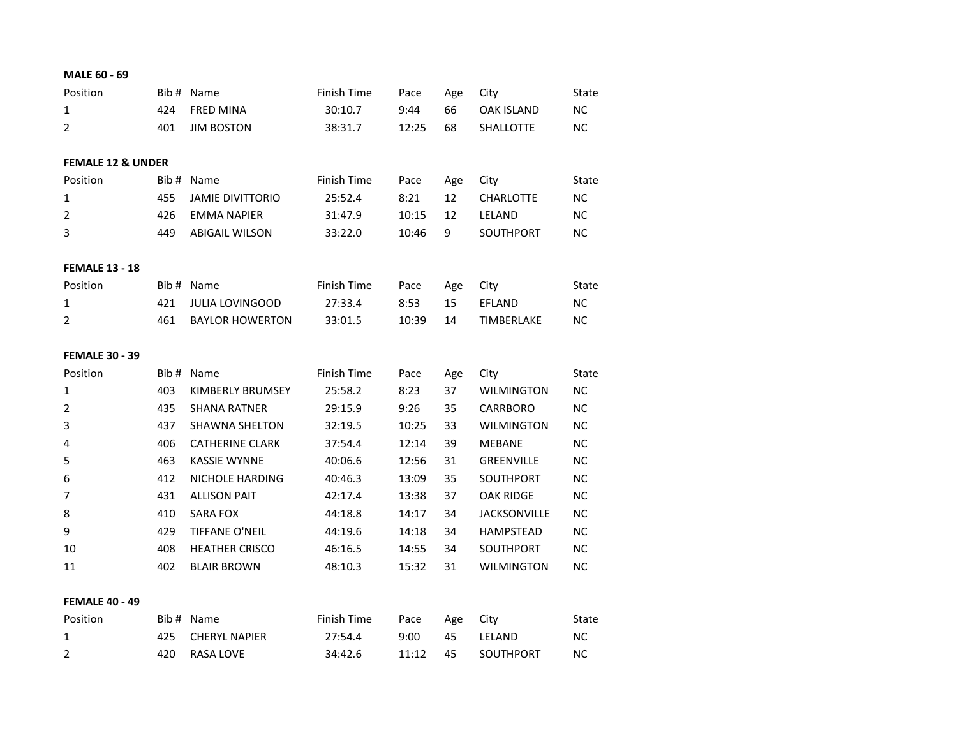| MALE 60 - 69                 |       |                         |             |       |     |                     |           |
|------------------------------|-------|-------------------------|-------------|-------|-----|---------------------|-----------|
| Position                     | Bib # | Name                    | Finish Time | Pace  | Age | City                | State     |
| 1                            | 424   | <b>FRED MINA</b>        | 30:10.7     | 9:44  | 66  | <b>OAK ISLAND</b>   | <b>NC</b> |
| 2                            | 401   | <b>JIM BOSTON</b>       | 38:31.7     | 12:25 | 68  | SHALLOTTE           | <b>NC</b> |
| <b>FEMALE 12 &amp; UNDER</b> |       |                         |             |       |     |                     |           |
| Position                     | Bib#  | Name                    | Finish Time | Pace  | Age | City                | State     |
| 1                            | 455   | <b>JAMIE DIVITTORIO</b> | 25:52.4     | 8:21  | 12  | <b>CHARLOTTE</b>    | ΝC        |
| $\overline{2}$               | 426   | <b>EMMA NAPIER</b>      | 31:47.9     | 10:15 | 12  | LELAND              | <b>NC</b> |
| 3                            | 449   | <b>ABIGAIL WILSON</b>   | 33:22.0     | 10:46 | 9   | <b>SOUTHPORT</b>    | NC.       |
| <b>FEMALE 13 - 18</b>        |       |                         |             |       |     |                     |           |
| Position                     | Bib # | Name                    | Finish Time | Pace  | Age | City                | State     |
| 1                            | 421   | <b>JULIA LOVINGOOD</b>  | 27:33.4     | 8:53  | 15  | EFLAND              | NC.       |
| $\overline{2}$               | 461   | <b>BAYLOR HOWERTON</b>  | 33:01.5     | 10:39 | 14  | TIMBERLAKE          | NC.       |
| <b>FEMALE 30 - 39</b>        |       |                         |             |       |     |                     |           |
| Position                     | Bib#  | Name                    | Finish Time | Pace  | Age | City                | State     |
| 1                            | 403   | KIMBERLY BRUMSEY        | 25:58.2     | 8:23  | 37  | <b>WILMINGTON</b>   | NC.       |
| $\overline{2}$               | 435   | <b>SHANA RATNER</b>     | 29:15.9     | 9:26  | 35  | <b>CARRBORO</b>     | <b>NC</b> |
| 3                            | 437   | <b>SHAWNA SHELTON</b>   | 32:19.5     | 10:25 | 33  | <b>WILMINGTON</b>   | NC        |
| 4                            | 406   | <b>CATHERINE CLARK</b>  | 37:54.4     | 12:14 | 39  | <b>MEBANE</b>       | <b>NC</b> |
| 5                            | 463   | <b>KASSIE WYNNE</b>     | 40:06.6     |       |     |                     | <b>NC</b> |
| 6                            |       |                         |             | 12:56 | 31  | GREENVILLE          |           |
|                              | 412   | <b>NICHOLE HARDING</b>  | 40:46.3     | 13:09 | 35  | SOUTHPORT           | NC.       |
| 7                            | 431   | <b>ALLISON PAIT</b>     | 42:17.4     | 13:38 | 37  | <b>OAK RIDGE</b>    | NС        |
| 8                            | 410   | <b>SARA FOX</b>         | 44:18.8     | 14:17 | 34  | <b>JACKSONVILLE</b> | NC        |
| 9                            | 429   | <b>TIFFANE O'NEIL</b>   | 44:19.6     | 14:18 | 34  | <b>HAMPSTEAD</b>    | <b>NC</b> |
| 10                           | 408   | <b>HEATHER CRISCO</b>   | 46:16.5     | 14:55 | 34  | SOUTHPORT           | NC.       |
| 11                           | 402   | <b>BLAIR BROWN</b>      | 48:10.3     | 15:32 | 31  | <b>WILMINGTON</b>   | NC.       |
| <b>FEMALE 40 - 49</b>        |       |                         |             |       |     |                     |           |
| Position                     | Bib # | Name                    | Finish Time | Pace  | Age | City                | State     |
| 1                            | 425   | <b>CHERYL NAPIER</b>    | 27:54.4     | 9:00  | 45  | LELAND              | <b>NC</b> |